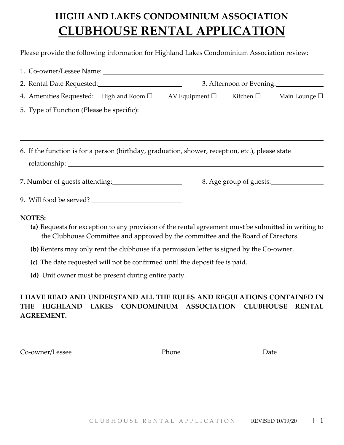# **HIGHLAND LAKES CONDOMINIUM ASSOCIATION CLUBHOUSE RENTAL APPLICATION**

Please provide the following information for Highland Lakes Condominium Association review:

|                                                                                                                                                                                                                                                                                                        | 3. Afternoon or Evening: |                         |  |
|--------------------------------------------------------------------------------------------------------------------------------------------------------------------------------------------------------------------------------------------------------------------------------------------------------|--------------------------|-------------------------|--|
| 4. Amenities Requested: Highland Room $\Box$ AV Equipment $\Box$ Kitchen $\Box$ Main Lounge $\Box$                                                                                                                                                                                                     |                          |                         |  |
|                                                                                                                                                                                                                                                                                                        |                          |                         |  |
|                                                                                                                                                                                                                                                                                                        |                          |                         |  |
| 6. If the function is for a person (birthday, graduation, shower, reception, etc.), please state                                                                                                                                                                                                       |                          |                         |  |
| 7. Number of guests attending:                                                                                                                                                                                                                                                                         |                          | 8. Age group of guests: |  |
|                                                                                                                                                                                                                                                                                                        |                          |                         |  |
| <b>NOTES:</b><br>(a) Requests for exception to any provision of the rental agreement must be submitted in writing to<br>the Clubhouse Committee and approved by the committee and the Board of Directors.<br>(b) Renters may only rent the clubhouse if a permission letter is signed by the Co-owner. |                          |                         |  |

- **(c)** The date requested will not be confirmed until the deposit fee is paid.
- **(d)** Unit owner must be present during entire party.

#### **I HAVE READ AND UNDERSTAND ALL THE RULES AND REGULATIONS CONTAINED IN THE HIGHLAND LAKES CONDOMINIUM ASSOCIATION CLUBHOUSE RENTAL AGREEMENT.**

Co-owner/Lessee Phone Phone Date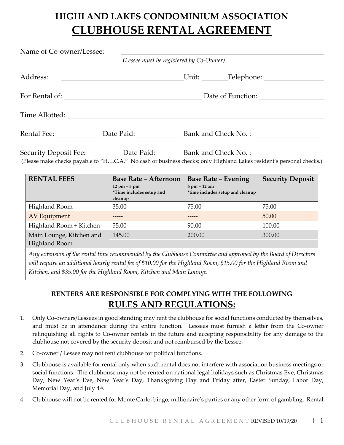## **HIGHLAND LAKES CONDOMINIUM ASSOCIATION CLUBHOUSE RENTAL AGREEMENT**

| Name of Co-owner/Lessee: |                                               |                                                                                                                                                                                                                               |  |  |  |
|--------------------------|-----------------------------------------------|-------------------------------------------------------------------------------------------------------------------------------------------------------------------------------------------------------------------------------|--|--|--|
|                          | (Lessee must be registered by Co-Owner)       |                                                                                                                                                                                                                               |  |  |  |
| Address:                 | <u> 1980 - Andrea Andrew Maria (h. 1980).</u> |                                                                                                                                                                                                                               |  |  |  |
|                          |                                               |                                                                                                                                                                                                                               |  |  |  |
|                          |                                               |                                                                                                                                                                                                                               |  |  |  |
|                          |                                               |                                                                                                                                                                                                                               |  |  |  |
|                          |                                               | Security Deposit Fee: ___________ Date Paid: ________ Bank and Check No.: _________________________<br>(Please make checks payable to "H.L.C.A." No cash or business checks; only Highland Lakes resident's personal checks.) |  |  |  |

| <b>RENTAL FEES</b>                                                                                                                                                                                                                                                                                         | <b>Base Rate - Afternoon</b><br>$12 \text{ pm} - 5 \text{ pm}$<br>*Time includes setup and<br>cleanup | <b>Base Rate – Evening</b><br>$6$ pm $-12$ am<br>*time includes setup and cleanup | <b>Security Deposit</b> |  |
|------------------------------------------------------------------------------------------------------------------------------------------------------------------------------------------------------------------------------------------------------------------------------------------------------------|-------------------------------------------------------------------------------------------------------|-----------------------------------------------------------------------------------|-------------------------|--|
| Highland Room                                                                                                                                                                                                                                                                                              | 35.00                                                                                                 | 75.00                                                                             | 75.00                   |  |
| <b>AV Equipment</b>                                                                                                                                                                                                                                                                                        |                                                                                                       |                                                                                   | 50.00                   |  |
| Highland Room + Kitchen                                                                                                                                                                                                                                                                                    | 55.00                                                                                                 | 90.00                                                                             | 100.00                  |  |
| Main Lounge, Kitchen and<br>Highland Room                                                                                                                                                                                                                                                                  | 145.00                                                                                                | 200.00                                                                            | 300.00                  |  |
| Any extension of the rental time recommended by the Clubhouse Committee and approved by the Board of Directors<br>will require an additional hourly rental fee of \$10.00 for the Highland Room, \$15.00 for the Highland Room and<br>Kitchen, and \$35.00 for the Highland Room, Kitchen and Main Lounge. |                                                                                                       |                                                                                   |                         |  |

### **RENTERS ARE RESPONSIBLE FOR COMPLYING WITH THE FOLLOWING RULES AND REGULATIONS:**

- 1. Only Co-owners/Lessees in good standing may rent the clubhouse for social functions conducted by themselves, and must be in attendance during the entire function. Lessees must furnish a letter from the Co-owner relinquishing all rights to Co-owner rentals in the future and accepting responsibility for any damage to the clubhouse not covered by the security deposit and not reimbursed by the Lessee.
- 2. Co-owner / Lessee may not rent clubhouse for political functions.
- 3. Clubhouse is available for rental only when such rental does not interfere with association business meetings or social functions. The clubhouse may not be rented on national legal holidays such as Christmas Eve, Christmas Day, New Year's Eve, New Year's Day, Thanksgiving Day and Friday after, Easter Sunday, Labor Day, Memorial Day, and July 4<sup>th</sup>.
- 4. Clubhouse will not be rented for Monte Carlo, bingo, millionaire's parties or any other form of gambling. Rental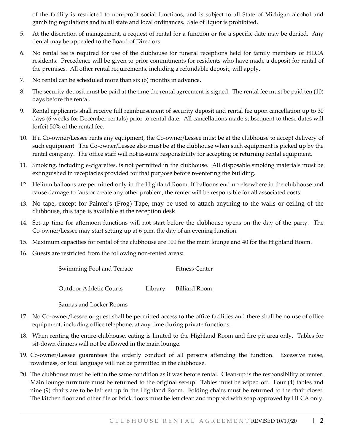of the facility is restricted to non-profit social functions, and is subject to all State of Michigan alcohol and gambling regulations and to all state and local ordinances. Sale of liquor is prohibited.

- 5. At the discretion of management, a request of rental for a function or for a specific date may be denied. Any denial may be appealed to the Board of Directors.
- 6. No rental fee is required for use of the clubhouse for funeral receptions held for family members of HLCA residents. Precedence will be given to prior commitments for residents who have made a deposit for rental of the premises. All other rental requirements, including a refundable deposit, will apply.
- 7. No rental can be scheduled more than six (6) months in advance.
- 8. The security deposit must be paid at the time the rental agreement is signed. The rental fee must be paid ten (10) days before the rental.
- 9. Rental applicants shall receive full reimbursement of security deposit and rental fee upon cancellation up to 30 days (6 weeks for December rentals) prior to rental date. All cancellations made subsequent to these dates will forfeit 50% of the rental fee.
- 10. If a Co-owner/Lessee rents any equipment, the Co-owner/Lessee must be at the clubhouse to accept delivery of such equipment. The Co-owner/Lessee also must be at the clubhouse when such equipment is picked up by the rental company. The office staff will not assume responsibility for accepting or returning rental equipment.
- 11. Smoking, including e-cigarettes, is not permitted in the clubhouse. All disposable smoking materials must be extinguished in receptacles provided for that purpose before re-entering the building.
- 12. Helium balloons are permitted only in the Highland Room. If balloons end up elsewhere in the clubhouse and cause damage to fans or create any other problem, the renter will be responsible for all associated costs.
- 13. No tape, except for Painter's (Frog) Tape, may be used to attach anything to the walls or ceiling of the clubhouse, this tape is available at the reception desk.
- 14. Set-up time for afternoon functions will not start before the clubhouse opens on the day of the party. The Co-owner/Lessee may start setting up at 6 p.m. the day of an evening function.
- 15. Maximum capacities for rental of the clubhouse are 100 for the main lounge and 40 for the Highland Room.
- 16. Guests are restricted from the following non-rented areas:

| Swimming Pool and Terrace | Fitness Center |
|---------------------------|----------------|
|---------------------------|----------------|

Outdoor Athletic Courts Library Billiard Room

Saunas and Locker Rooms

- 17. No Co-owner/Lessee or guest shall be permitted access to the office facilities and there shall be no use of office equipment, including office telephone, at any time during private functions.
- 18. When renting the entire clubhouse, eating is limited to the Highland Room and fire pit area only. Tables for sit-down dinners will not be allowed in the main lounge.
- 19. Co-owner/Lessee guarantees the orderly conduct of all persons attending the function. Excessive noise, rowdiness, or foul language will not be permitted in the clubhouse.
- 20. The clubhouse must be left in the same condition as it was before rental. Clean-up is the responsibility of renter. Main lounge furniture must be returned to the original set-up. Tables must be wiped off. Four (4) tables and nine (9) chairs are to be left set up in the Highland Room. Folding chairs must be returned to the chair closet. The kitchen floor and other tile or brick floors must be left clean and mopped with soap approved by HLCA only.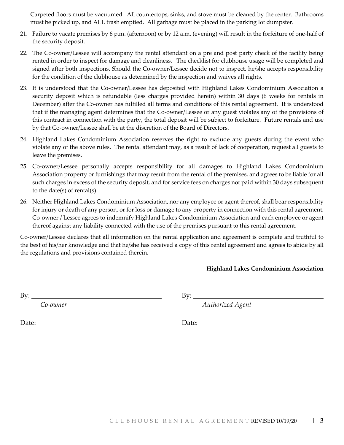Carpeted floors must be vacuumed. All countertops, sinks, and stove must be cleaned by the renter. Bathrooms must be picked up, and ALL trash emptied. All garbage must be placed in the parking lot dumpster.

- 21. Failure to vacate premises by 6 p.m. (afternoon) or by 12 a.m. (evening) will result in the forfeiture of one-half of the security deposit.
- 22. The Co-owner/Lessee will accompany the rental attendant on a pre and post party check of the facility being rented in order to inspect for damage and cleanliness. The checklist for clubhouse usage will be completed and signed after both inspections. Should the Co-owner/Lessee decide not to inspect, he/she accepts responsibility for the condition of the clubhouse as determined by the inspection and waives all rights.
- 23. It is understood that the Co-owner/Lessee has deposited with Highland Lakes Condominium Association a security deposit which is refundable (less charges provided herein) within 30 days (6 weeks for rentals in December) after the Co-owner has fulfilled all terms and conditions of this rental agreement. It is understood that if the managing agent determines that the Co-owner/Lessee or any guest violates any of the provisions of this contract in connection with the party, the total deposit will be subject to forfeiture. Future rentals and use by that Co-owner/Lessee shall be at the discretion of the Board of Directors.
- 24. Highland Lakes Condominium Association reserves the right to exclude any guests during the event who violate any of the above rules. The rental attendant may, as a result of lack of cooperation, request all guests to leave the premises.
- 25. Co-owner/Lessee personally accepts responsibility for all damages to Highland Lakes Condominium Association property or furnishings that may result from the rental of the premises, and agrees to be liable for all such charges in excess of the security deposit, and for service fees on charges not paid within 30 days subsequent to the date(s) of rental(s).
- 26. Neither Highland Lakes Condominium Association, nor any employee or agent thereof, shall bear responsibility for injury or death of any person, or for loss or damage to any property in connection with this rental agreement. Co-owner / Lessee agrees to indemnify Highland Lakes Condominium Association and each employee or agent thereof against any liability connected with the use of the premises pursuant to this rental agreement.

Co-owner/Lessee declares that all information on the rental application and agreement is complete and truthful to the best of his/her knowledge and that he/she has received a copy of this rental agreement and agrees to abide by all the regulations and provisions contained therein.

#### **Highland Lakes Condominium Association**

By:  $\qquad \qquad \qquad \qquad \qquad \qquad \qquad \qquad \text{By:}$ 

*Co-owner Authorized Agent*

Date: Date: Date: Date: Date: Date: Date: Date: Date: Date: Date: Date: Date: Date: Date: Date: Date: Date: Date: Date:  $\sum_{n=1}^{\infty}$